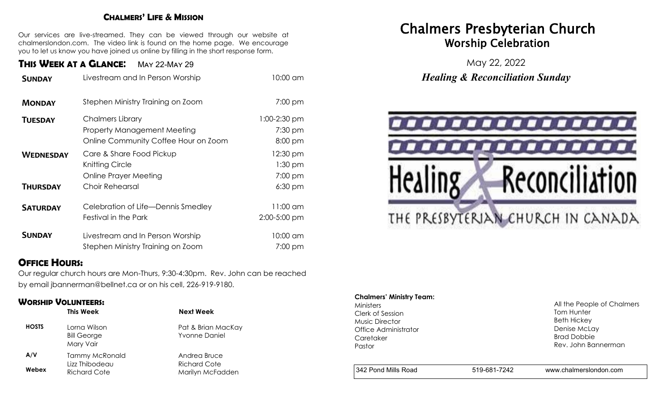### **CHALMERS' LIFE & MISSION**

Our services are live-streamed. They can be viewed through our website at chalmerslondon.com. The video link is found on the home page. We encourage you to let us know you have joined us online by filling in the short response form.

## **THIS WEEK AT <sup>A</sup> GLANCE**: May 22-May 29

| <b>SUNDAY</b>    | Livestream and In Person Worship                                                                      | 10:00 am                             |
|------------------|-------------------------------------------------------------------------------------------------------|--------------------------------------|
| <b>MONDAY</b>    | Stephen Ministry Training on Zoom                                                                     | 7:00 pm                              |
| <b>TUESDAY</b>   | <b>Chalmers Library</b><br><b>Property Management Meeting</b><br>Online Community Coffee Hour on Zoom | $1:00-2:30$ pm<br>7:30 pm<br>8:00 pm |
| <b>WEDNESDAY</b> | Care & Share Food Pickup<br>Knitting Circle<br>Online Prayer Meeting                                  | 12:30 pm<br>$1:30$ pm<br>7:00 pm     |
| <b>THURSDAY</b>  | Choir Rehearsal                                                                                       | 6:30 pm                              |
| <b>SATURDAY</b>  | Celebration of Life-Dennis Smedley<br>Festival in the Park                                            | 11:00 am<br>2:00-5:00 pm             |
| <b>SUNDAY</b>    | Livestream and In Person Worship<br>Stephen Ministry Training on Zoom                                 | 10:00 am<br>7:00 pm                  |

## **OFFICE HOURS:**

Our regular church hours are Mon-Thurs, 9:30-4:30pm. Rev. John can be reached by email jbannerman@bellnet.ca or on his cell, 226-919-9180.

### **WORSHIP VOLUNTEERS:**

|              | This Week                                       | <b>Next Week</b>                           |
|--------------|-------------------------------------------------|--------------------------------------------|
| <b>HOSTS</b> | Lorna Wilson<br><b>Bill George</b><br>Mary Vair | Pat & Brian MacKay<br><b>Yvonne Daniel</b> |
| A/V          | <b>Tammy McRonald</b>                           | Andrea Bruce                               |
| Webex        | Lizz Thibodeau<br><b>Richard Cote</b>           | Richard Cote<br>Marilyn McFadden           |

## Chalmers Presbyterian Church Worship Celebration

May 22, 2022 *Healing & Reconciliation Sunday* 



#### **Chalmers' Ministry Team:**

Ministers Clerk of Session Music Director Office Administrator **Caretaker** Pastor

All the People of Chalmers Tom Hunter Beth Hickey Denise McLay Brad Dobbie Rev. John Bannerman

342 Pond Mills Road 519-681-7242 www.chalmerslondon.com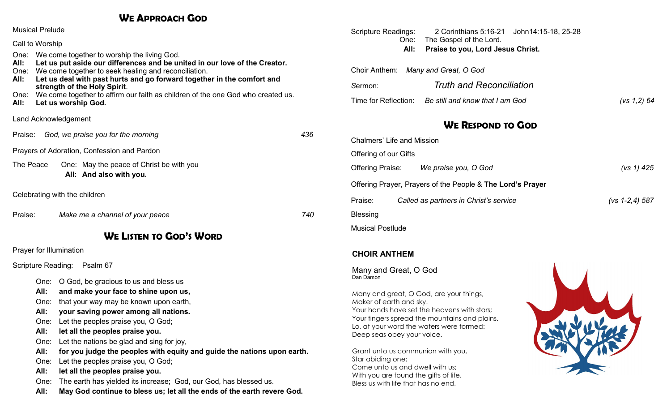## **WE APPROACH GOD**

| Land Acknowledgement          |  |  |  |  |  |
|-------------------------------|--|--|--|--|--|
|                               |  |  |  |  |  |
|                               |  |  |  |  |  |
|                               |  |  |  |  |  |
| Celebrating with the children |  |  |  |  |  |
|                               |  |  |  |  |  |
|                               |  |  |  |  |  |
|                               |  |  |  |  |  |
| Scripture Reading: Psalm 67   |  |  |  |  |  |
|                               |  |  |  |  |  |
|                               |  |  |  |  |  |

| Scripture Readings:<br>One:       | 2 Corinthians 5:16-21 John14:15-18, 25-28<br>The Gospel of the Lord. |                  |
|-----------------------------------|----------------------------------------------------------------------|------------------|
| All:                              | Praise to you, Lord Jesus Christ.                                    |                  |
|                                   | Choir Anthem: Many and Great, O God                                  |                  |
| Sermon:                           | <b>Truth and Reconciliation</b>                                      |                  |
|                                   | Time for Reflection: Be still and know that I am God                 | (vs 1,2) 64      |
|                                   | <b>WE RESPOND TO GOD</b>                                             |                  |
| <b>Chalmers' Life and Mission</b> |                                                                      |                  |
| Offering of our Gifts             |                                                                      |                  |
|                                   | Offering Praise: We praise you, O God                                | (vs 1) $425$     |
|                                   | Offering Prayer, Prayers of the People & The Lord's Prayer           |                  |
| Praise:                           | Called as partners in Christ's service                               | $(vs 1-2,4) 587$ |
| <b>Blessing</b>                   |                                                                      |                  |
| <b>Musical Postlude</b>           |                                                                      |                  |

### **CHOIR ANTHEM**

Many and Great, O God Dan Damon

Many and great, O God, are your things, Maker of earth and sky. Your hands have set the heavens with stars; Your fingers spread the mountains and plains. Lo, at your word the waters were formed: Deep seas obey your voice.

Grant unto us communion with you, Star abiding one; Come unto us and dwell with us; With you are found the gifts of life. Bless us with life that has no end,

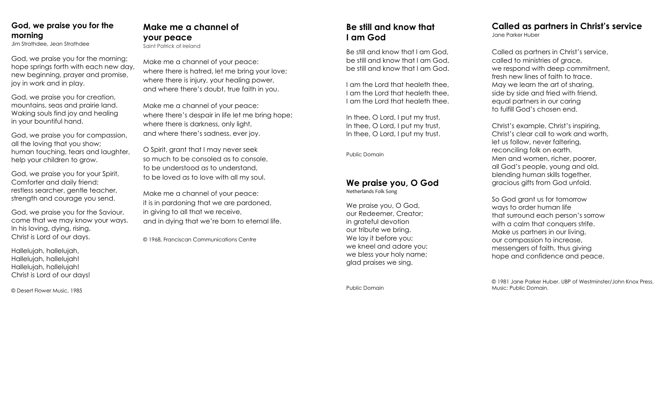## **God, we praise you for the morning**

Jim Strathdee, Jean Strathdee

God, we praise you for the morning; hope springs forth with each new day, new beginning, prayer and promise, joy in work and in play.

God, we praise you for creation, mountains, seas and prairie land. Waking souls find joy and healing in your bountiful hand.

God, we praise you for compassion, all the loving that you show; human touching, tears and laughter, help your children to grow.

God, we praise you for your Spirit, Comforter and daily friend; restless searcher, gentle teacher, strength and courage you send.

God, we praise you for the Saviour, come that we may know your ways. In his loving, dying, rising, Christ is Lord of our days.

Hallelujah, hallelujah, Hallelujah, hallelujah! Hallelujah, hallelujah! Christ is Lord of our days!

© Desert Flower Music, 1985

## **Make me a channel of your peace**

Saint Patrick of Ireland

Make me a channel of your peace: where there is hatred, let me bring your love; where there is injury, your healing power, and where there's doubt, true faith in you.

Make me a channel of your peace: where there's despair in life let me bring hope; where there is darkness, only light, and where there's sadness, ever joy.

O Spirit, grant that I may never seek so much to be consoled as to console, to be understood as to understand, to be loved as to love with all my soul.

Make me a channel of your peace: it is in pardoning that we are pardoned, in giving to all that we receive, and in dying that we're born to eternal life.

© 1968, Franciscan Communications Centre

## **Be still and know that I am God**

Be still and know that I am God, be still and know that I am God, be still and know that I am God.

I am the Lord that healeth thee, I am the Lord that healeth thee, I am the Lord that healeth thee.

In thee, O Lord, I put my trust, In thee, O Lord, I put my trust, In thee, O Lord, I put my trust.

Public Domain

## **We praise you, O God**

Netherlands Folk Song

We praise you, O God, our Redeemer, Creator; in grateful devotion our tribute we bring. We lay it before you; we kneel and adore you; we bless your holy name; glad praises we sing.

Public Domain

### **Called as partners in Christ's service** Jane Parker Huber

Called as partners in Christ's service, called to ministries of grace, we respond with deep commitment, fresh new lines of faith to trace. May we learn the art of sharing, side by side and fried with friend, equal partners in our caring to fulfill God's chosen end.

Christ's example, Christ's inspiring, Christ's clear call to work and worth, let us follow, never faltering, reconciling folk on earth. Men and women, richer, poorer, all God's people, young and old, blending human skills together, gracious gifts from God unfold.

So God grant us for tomorrow ways to order human life that surround each person's sorrow with a calm that conquers strife. Make us partners in our living, our compassion to increase, messengers of faith, thus giving hope and confidence and peace.

© 1981 Jane Parker Huber. UBP of Westminster/John Knox Press. Music: Public Domain.